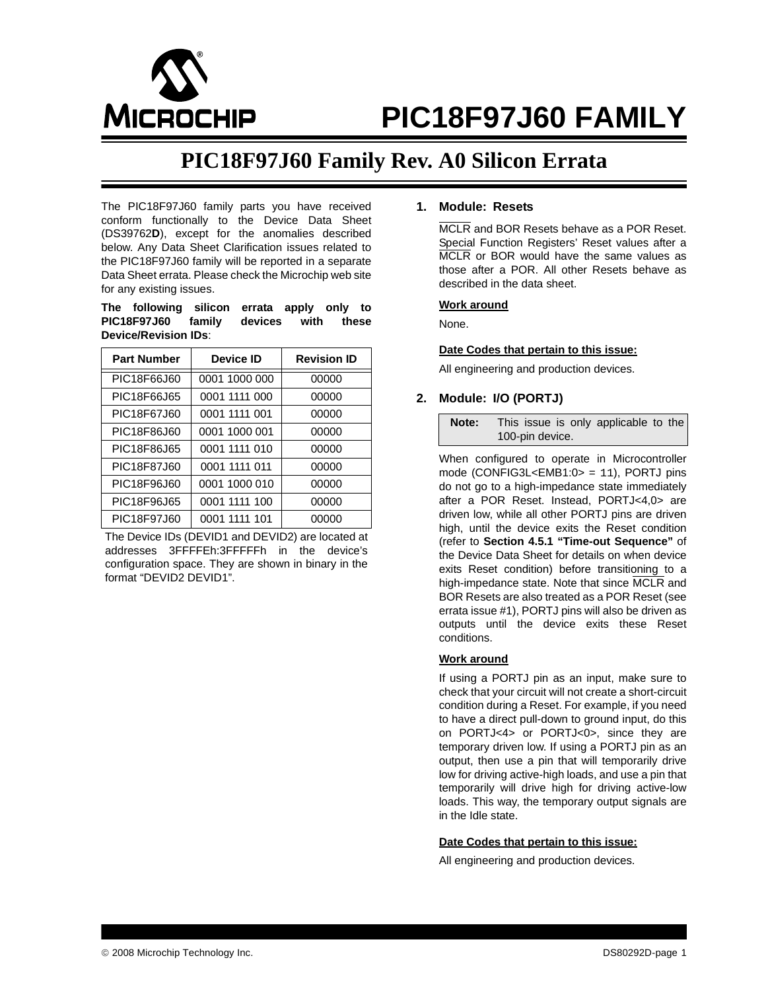

# **PIC18F97J60 FAMILY**

# **PIC18F97J60 Family Rev. A0 Silicon Errata**

The PIC18F97J60 family parts you have received conform functionally to the Device Data Sheet (DS39762**D**), except for the anomalies described below. Any Data Sheet Clarification issues related to the PIC18F97J60 family will be reported in a separate Data Sheet errata. Please check the Microchip web site for any existing issues.

**The following silicon errata apply only to PIC18F97J60 family devices with these Device/Revision IDs**:

| <b>Part Number</b> | <b>Device ID</b> | <b>Revision ID</b> |
|--------------------|------------------|--------------------|
| PIC18F66J60        | 0001 1000 000    | 00000              |
| PIC18F66J65        | 0001 1111 000    | 00000              |
| PIC18F67J60        | 0001 1111 001    | 00000              |
| PIC18F86J60        | 0001 1000 001    | 00000              |
| PIC18F86J65        | 0001 1111 010    | 00000              |
| PIC18F87J60        | 0001 1111 011    | 00000              |
| PIC18F96J60        | 0001 1000 010    | 00000              |
| PIC18F96J65        | 0001 1111 100    | 00000              |
| PIC18F97J60        | 0001 1111 101    | 00000              |

The Device IDs (DEVID1 and DEVID2) are located at addresses 3FFFFEh:3FFFFFh in the device's configuration space. They are shown in binary in the format "DEVID2 DEVID1".

# **1. Module: Resets**

MCLR and BOR Resets behave as a POR Reset. Special Function Registers' Reset values after a MCLR or BOR would have the same values as those after a POR. All other Resets behave as described in the data sheet.

#### **Work around**

None.

#### **Date Codes that pertain to this issue:**

All engineering and production devices.

### **2. Module: I/O (PORTJ)**

**Note:** This issue is only applicable to the 100-pin device.

When configured to operate in Microcontroller mode (CONFIG3L<EMB1:0> = 11), PORTJ pins do not go to a high-impedance state immediately after a POR Reset. Instead, PORTJ<4,0> are driven low, while all other PORTJ pins are driven high, until the device exits the Reset condition (refer to **Section 4.5.1 "Time-out Sequence"** of the Device Data Sheet for details on when device exits Reset condition) before transitioning to a high-impedance state. Note that since MCLR and BOR Resets are also treated as a POR Reset (see errata issue #1), PORTJ pins will also be driven as outputs until the device exits these Reset conditions.

#### **Work around**

If using a PORTJ pin as an input, make sure to check that your circuit will not create a short-circuit condition during a Reset. For example, if you need to have a direct pull-down to ground input, do this on PORTJ<4> or PORTJ<0>, since they are temporary driven low. If using a PORTJ pin as an output, then use a pin that will temporarily drive low for driving active-high loads, and use a pin that temporarily will drive high for driving active-low loads. This way, the temporary output signals are in the Idle state.

#### **Date Codes that pertain to this issue:**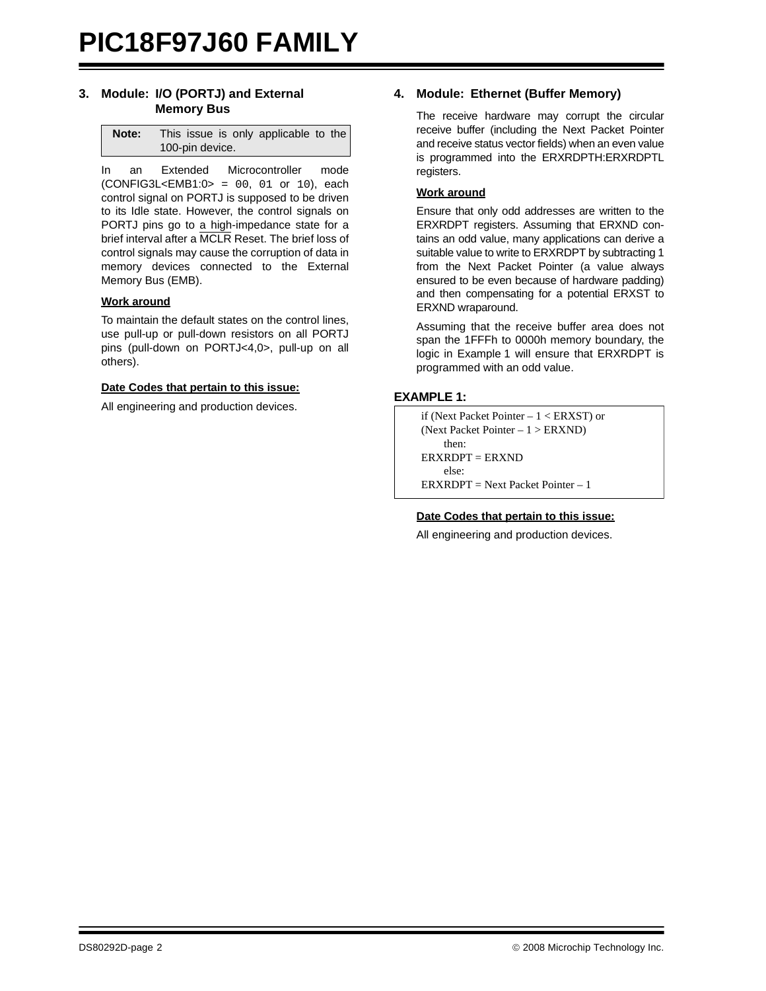# **3. Module: I/O (PORTJ) and External Memory Bus**

| Note: | This issue is only applicable to the |
|-------|--------------------------------------|
|       | 100-pin device.                      |

In an Extended Microcontroller mode  $(CONFIG3L < EMB1:0 > = 00, 01$  or 10), each control signal on PORTJ is supposed to be driven to its Idle state. However, the control signals on PORTJ pins go to a high-impedance state for a brief interval after a MCLR Reset. The brief loss of control signals may cause the corruption of data in memory devices connected to the External Memory Bus (EMB).

#### **Work around**

To maintain the default states on the control lines, use pull-up or pull-down resistors on all PORTJ pins (pull-down on PORTJ<4,0>, pull-up on all others).

#### **Date Codes that pertain to this issue:**

All engineering and production devices.

# **4. Module: Ethernet (Buffer Memory)**

The receive hardware may corrupt the circular receive buffer (including the Next Packet Pointer and receive status vector fields) when an even value is programmed into the ERXRDPTH:ERXRDPTL registers.

# **Work around**

Ensure that only odd addresses are written to the ERXRDPT registers. Assuming that ERXND contains an odd value, many applications can derive a suitable value to write to ERXRDPT by subtracting 1 from the Next Packet Pointer (a value always ensured to be even because of hardware padding) and then compensating for a potential ERXST to ERXND wraparound.

Assuming that the receive buffer area does not span the 1FFFh to 0000h memory boundary, the logic in [Example 1](#page-1-0) will ensure that ERXRDPT is programmed with an odd value.

# <span id="page-1-0"></span>**EXAMPLE 1:**

```
if (Next Packet Pointer – 1 < ERXST) or
(Next Packet Pointer – 1 > ERXND)
    then:
ERXRDPT = ERXND
    else:
ERXRDPT = Next Packet Pointer -1
```
# **Date Codes that pertain to this issue:**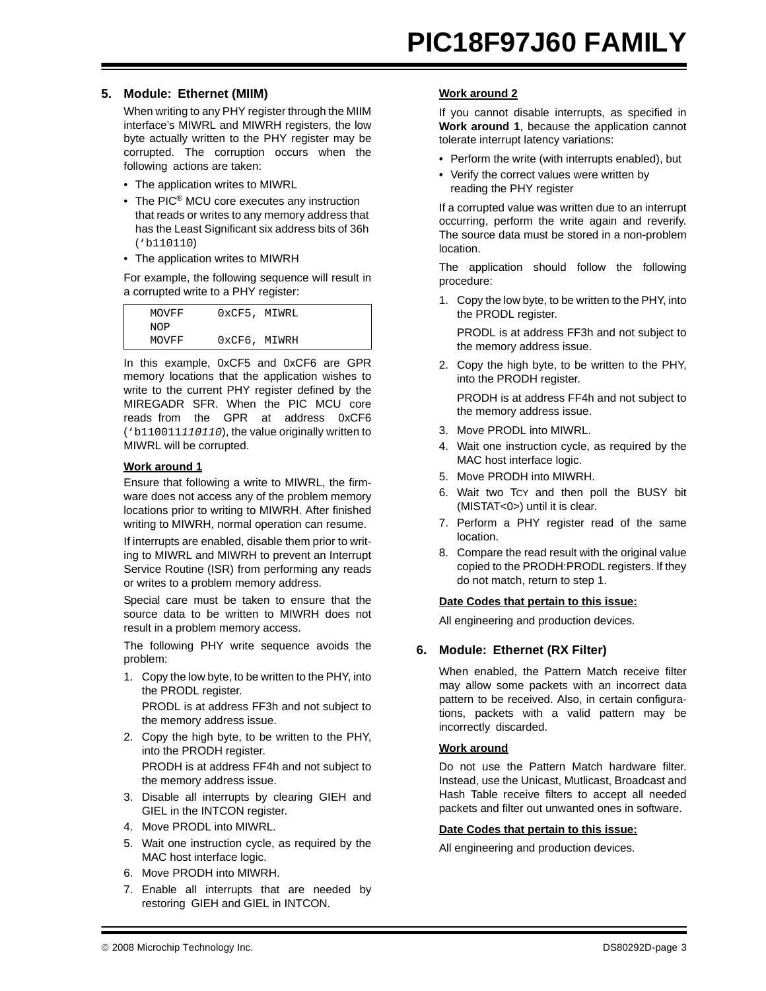# **5. Module: Ethernet (MIIM)**

When writing to any PHY register through the MIIM interface's MIWRL and MIWRH registers, the low byte actually written to the PHY register may be corrupted. The corruption occurs when the following actions are taken:

- The application writes to MIWRL
- The PIC<sup>®</sup> MCU core executes any instruction that reads or writes to any memory address that has the Least Significant six address bits of 36h ('b110110)
- The application writes to MIWRH

For example, the following sequence will result in a corrupted write to a PHY register:

| MOVFF | OxCF5, MIWRL |  |
|-------|--------------|--|
| NOP   |              |  |
| MOVFF | 0xCF6, MIWRH |  |

In this example, 0xCF5 and 0xCF6 are GPR memory locations that the application wishes to write to the current PHY register defined by the MIREGADR SFR. When the PIC MCU core reads from the GPR at address 0xCF6 ('b110011*110110*), the value originally written to MIWRL will be corrupted.

# **Work around 1**

Ensure that following a write to MIWRL, the firmware does not access any of the problem memory locations prior to writing to MIWRH. After finished writing to MIWRH, normal operation can resume.

If interrupts are enabled, disable them prior to writing to MIWRL and MIWRH to prevent an Interrupt Service Routine (ISR) from performing any reads or writes to a problem memory address.

Special care must be taken to ensure that the source data to be written to MIWRH does not result in a problem memory access.

The following PHY write sequence avoids the problem:

1. Copy the low byte, to be written to the PHY, into the PRODL register.

PRODL is at address FF3h and not subject to the memory address issue.

2. Copy the high byte, to be written to the PHY, into the PRODH register. PRODH is at address FF4h and not subject to

the memory address issue.

- 3. Disable all interrupts by clearing GIEH and GIEL in the INTCON register.
- 4. Move PRODL into MIWRL.
- 5. Wait one instruction cycle, as required by the MAC host interface logic.
- 6. Move PRODH into MIWRH.
- 7. Enable all interrupts that are needed by restoring GIEH and GIEL in INTCON.

# **Work around 2**

If you cannot disable interrupts, as specified in **Work around 1**, because the application cannot tolerate interrupt latency variations:

- Perform the write (with interrupts enabled), but
- Verify the correct values were written by reading the PHY register

If a corrupted value was written due to an interrupt occurring, perform the write again and reverify. The source data must be stored in a non-problem location.

The application should follow the following procedure:

1. Copy the low byte, to be written to the PHY, into the PRODL register.

PRODL is at address FF3h and not subject to the memory address issue.

2. Copy the high byte, to be written to the PHY, into the PRODH register.

PRODH is at address FF4h and not subject to the memory address issue.

- 3. Move PRODL into MIWRL.
- 4. Wait one instruction cycle, as required by the MAC host interface logic.
- 5. Move PRODH into MIWRH.
- 6. Wait two TCY and then poll the BUSY bit (MISTAT<0>) until it is clear.
- 7. Perform a PHY register read of the same location.
- 8. Compare the read result with the original value copied to the PRODH:PRODL registers. If they do not match, return to step 1.

# **Date Codes that pertain to this issue:**

All engineering and production devices.

# **6. Module: Ethernet (RX Filter)**

When enabled, the Pattern Match receive filter may allow some packets with an incorrect data pattern to be received. Also, in certain configurations, packets with a valid pattern may be incorrectly discarded.

# **Work around**

Do not use the Pattern Match hardware filter. Instead, use the Unicast, Mutlicast, Broadcast and Hash Table receive filters to accept all needed packets and filter out unwanted ones in software.

# **Date Codes that pertain to this issue:**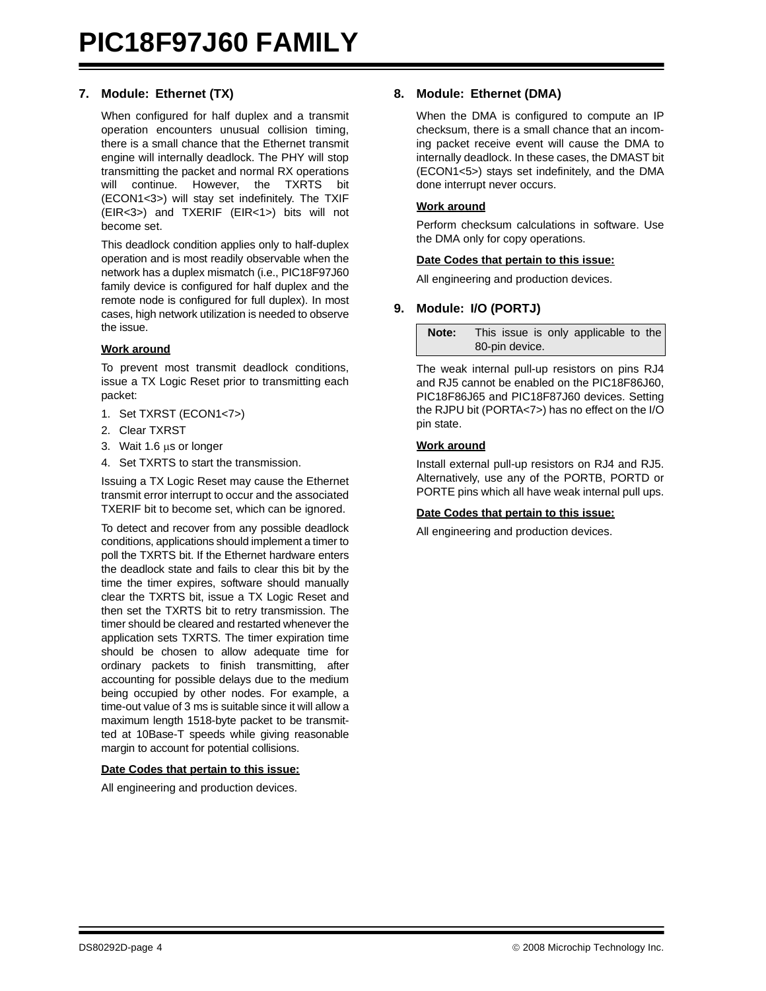# **7. Module: Ethernet (TX)**

When configured for half duplex and a transmit operation encounters unusual collision timing, there is a small chance that the Ethernet transmit engine will internally deadlock. The PHY will stop transmitting the packet and normal RX operations will continue. However, the TXRTS bit (ECON1<3>) will stay set indefinitely. The TXIF (EIR<3>) and TXERIF (EIR<1>) bits will not become set.

This deadlock condition applies only to half-duplex operation and is most readily observable when the network has a duplex mismatch (i.e., PIC18F97J60 family device is configured for half duplex and the remote node is configured for full duplex). In most cases, high network utilization is needed to observe the issue.

#### **Work around**

To prevent most transmit deadlock conditions, issue a TX Logic Reset prior to transmitting each packet:

- 1. Set TXRST (ECON1<7>)
- 2. Clear TXRST
- 3. Wait 1.6 μs or longer
- 4. Set TXRTS to start the transmission.

Issuing a TX Logic Reset may cause the Ethernet transmit error interrupt to occur and the associated TXERIF bit to become set, which can be ignored.

To detect and recover from any possible deadlock conditions, applications should implement a timer to poll the TXRTS bit. If the Ethernet hardware enters the deadlock state and fails to clear this bit by the time the timer expires, software should manually clear the TXRTS bit, issue a TX Logic Reset and then set the TXRTS bit to retry transmission. The timer should be cleared and restarted whenever the application sets TXRTS. The timer expiration time should be chosen to allow adequate time for ordinary packets to finish transmitting, after accounting for possible delays due to the medium being occupied by other nodes. For example, a time-out value of 3 ms is suitable since it will allow a maximum length 1518-byte packet to be transmitted at 10Base-T speeds while giving reasonable margin to account for potential collisions.

#### **Date Codes that pertain to this issue:**

All engineering and production devices.

### **8. Module: Ethernet (DMA)**

When the DMA is configured to compute an IP checksum, there is a small chance that an incoming packet receive event will cause the DMA to internally deadlock. In these cases, the DMAST bit (ECON1<5>) stays set indefinitely, and the DMA done interrupt never occurs.

#### **Work around**

Perform checksum calculations in software. Use the DMA only for copy operations.

#### **Date Codes that pertain to this issue:**

All engineering and production devices.

# **9. Module: I/O (PORTJ)**

**Note:** This issue is only applicable to the 80-pin device.

The weak internal pull-up resistors on pins RJ4 and RJ5 cannot be enabled on the PIC18F86J60, PIC18F86J65 and PIC18F87J60 devices. Setting the RJPU bit (PORTA<7>) has no effect on the I/O pin state.

#### **Work around**

Install external pull-up resistors on RJ4 and RJ5. Alternatively, use any of the PORTB, PORTD or PORTE pins which all have weak internal pull ups.

#### **Date Codes that pertain to this issue:**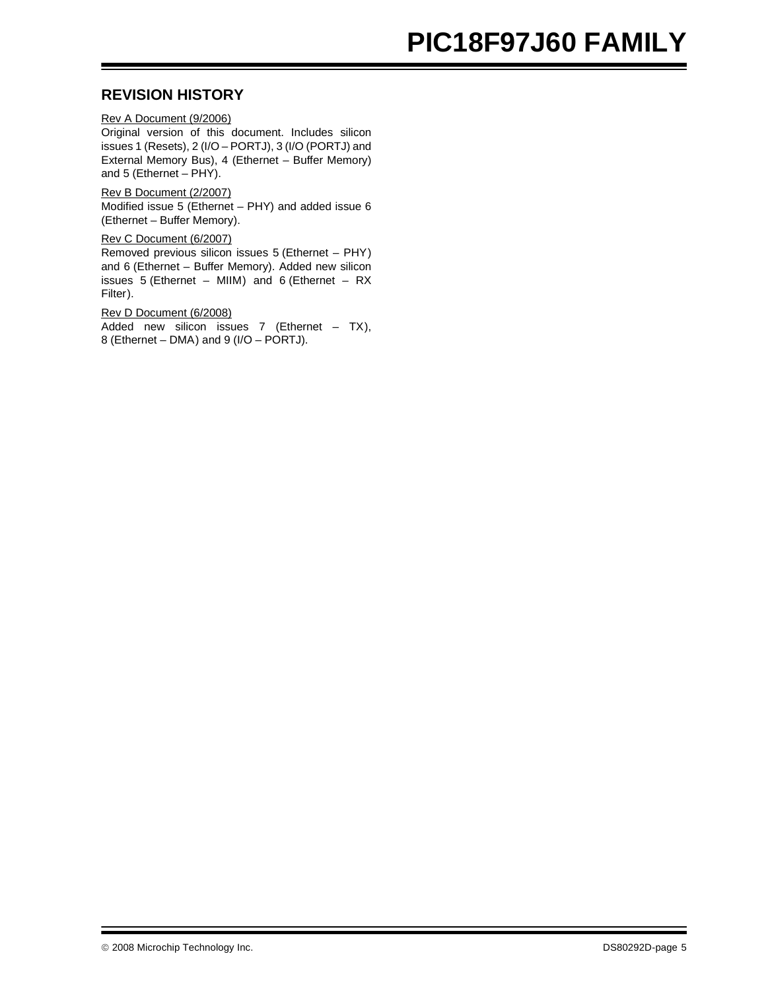# **PIC18F97J60 FAMILY**

# **REVISION HISTORY**

Rev A Document (9/2006) Original version of this document. Includes silicon issues 1 (Resets), 2 (I/O – PORTJ), 3 (I/O (PORTJ) and External Memory Bus), 4 (Ethernet – Buffer Memory) and 5 (Ethernet – PHY).

Rev B Document (2/2007) Modified issue 5 (Ethernet – PHY) and added issue 6 (Ethernet – Buffer Memory).

Rev C Document (6/2007) Removed previous silicon issues 5 (Ethernet – PHY) and 6 (Ethernet – Buffer Memory). Added new silicon issues  $5$  (Ethernet – MIIM) and  $6$  (Ethernet – RX Filter).

Rev D Document (6/2008) Added new silicon issues 7 (Ethernet – TX), 8 (Ethernet – DMA) and 9 (I/O – PORTJ).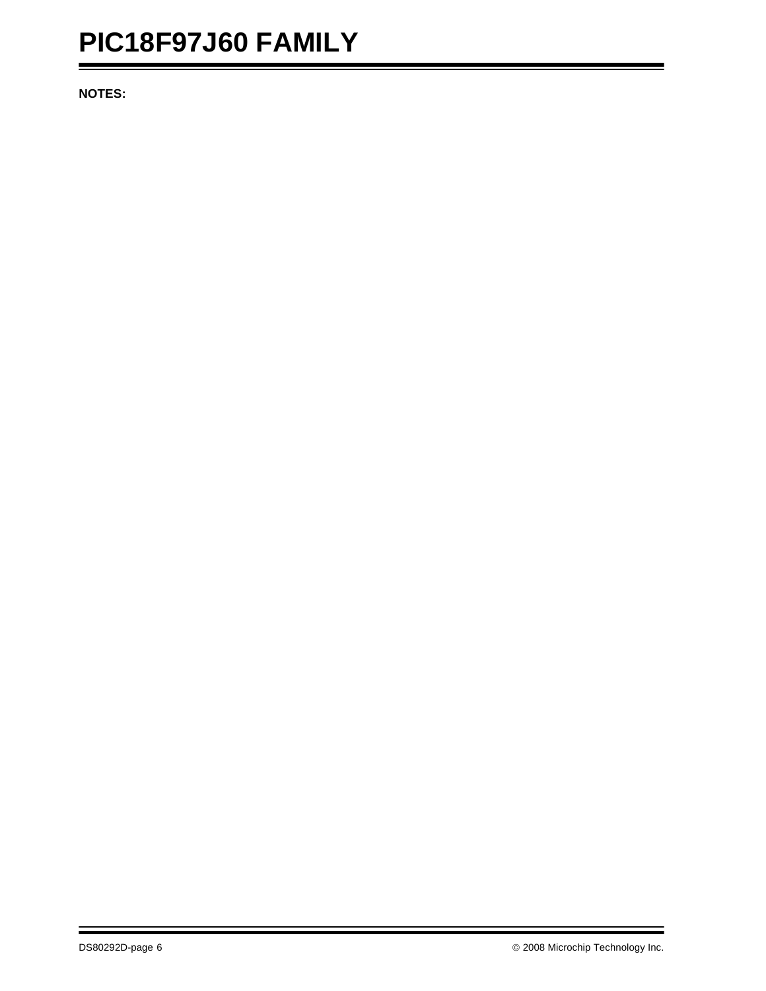# **PIC18F97J60 FAMILY**

**NOTES:**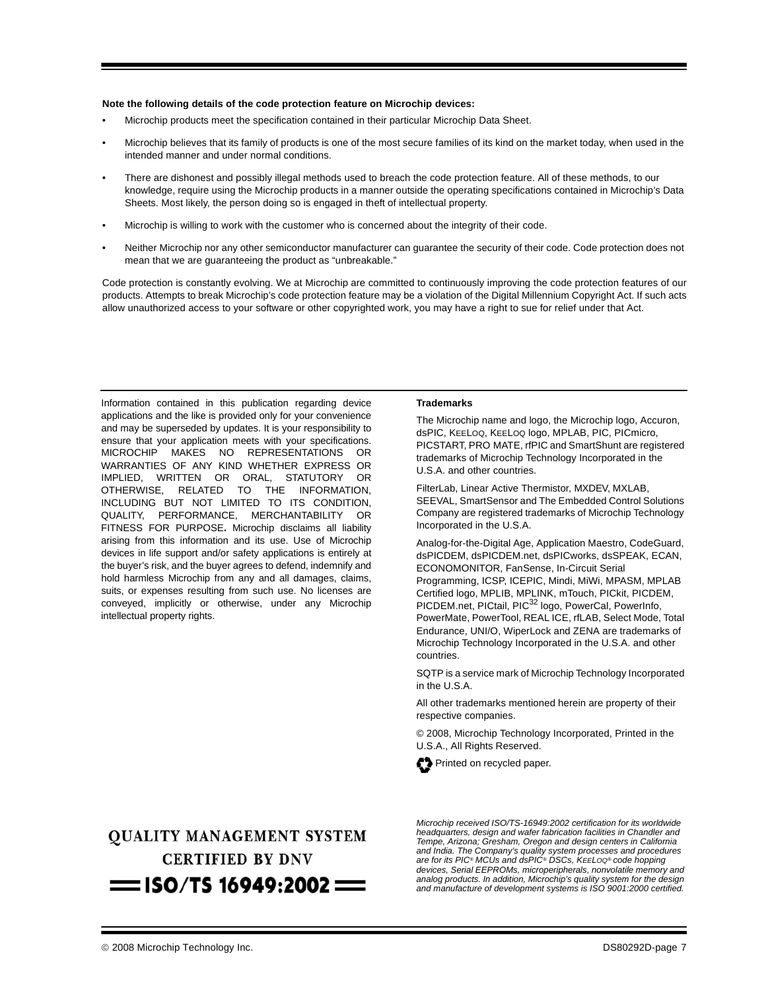#### **Note the following details of the code protection feature on Microchip devices:**

- Microchip products meet the specification contained in their particular Microchip Data Sheet.
- Microchip believes that its family of products is one of the most secure families of its kind on the market today, when used in the intended manner and under normal conditions.
- There are dishonest and possibly illegal methods used to breach the code protection feature. All of these methods, to our knowledge, require using the Microchip products in a manner outside the operating specifications contained in Microchip's Data Sheets. Most likely, the person doing so is engaged in theft of intellectual property.
- Microchip is willing to work with the customer who is concerned about the integrity of their code.
- Neither Microchip nor any other semiconductor manufacturer can guarantee the security of their code. Code protection does not mean that we are guaranteeing the product as "unbreakable."

Code protection is constantly evolving. We at Microchip are committed to continuously improving the code protection features of our products. Attempts to break Microchip's code protection feature may be a violation of the Digital Millennium Copyright Act. If such acts allow unauthorized access to your software or other copyrighted work, you may have a right to sue for relief under that Act.

Information contained in this publication regarding device applications and the like is provided only for your convenience and may be superseded by updates. It is your responsibility to ensure that your application meets with your specifications. MICROCHIP MAKES NO REPRESENTATIONS OR WARRANTIES OF ANY KIND WHETHER EXPRESS OR IMPLIED, WRITTEN OR ORAL, STATUTORY OR OTHERWISE, RELATED TO THE INFORMATION, INCLUDING BUT NOT LIMITED TO ITS CONDITION, QUALITY, PERFORMANCE, MERCHANTABILITY OR FITNESS FOR PURPOSE**.** Microchip disclaims all liability arising from this information and its use. Use of Microchip devices in life support and/or safety applications is entirely at the buyer's risk, and the buyer agrees to defend, indemnify and hold harmless Microchip from any and all damages, claims, suits, or expenses resulting from such use. No licenses are conveyed, implicitly or otherwise, under any Microchip intellectual property rights.

#### **Trademarks**

The Microchip name and logo, the Microchip logo, Accuron, dsPIC, KEELOQ, KEELOQ logo, MPLAB, PIC, PICmicro, PICSTART, PRO MATE, rfPIC and SmartShunt are registered trademarks of Microchip Technology Incorporated in the U.S.A. and other countries.

FilterLab, Linear Active Thermistor, MXDEV, MXLAB, SEEVAL, SmartSensor and The Embedded Control Solutions Company are registered trademarks of Microchip Technology Incorporated in the U.S.A.

Analog-for-the-Digital Age, Application Maestro, CodeGuard, dsPICDEM, dsPICDEM.net, dsPICworks, dsSPEAK, ECAN, ECONOMONITOR, FanSense, In-Circuit Serial Programming, ICSP, ICEPIC, Mindi, MiWi, MPASM, MPLAB Certified logo, MPLIB, MPLINK, mTouch, PICkit, PICDEM, PICDEM.net, PICtail, PIC<sup>32</sup> logo, PowerCal, PowerInfo, PowerMate, PowerTool, REAL ICE, rfLAB, Select Mode, Total Endurance, UNI/O, WiperLock and ZENA are trademarks of Microchip Technology Incorporated in the U.S.A. and other countries.

SQTP is a service mark of Microchip Technology Incorporated in the U.S.A.

All other trademarks mentioned herein are property of their respective companies.

© 2008, Microchip Technology Incorporated, Printed in the U.S.A., All Rights Reserved.



# **QUALITY MANAGEMENT SYSTEM CERTIFIED BY DNV**  $=$  ISO/TS 16949:2002  $=$

*Microchip received ISO/TS-16949:2002 certification for its worldwide headquarters, design and wafer fabrication facilities in Chandler and Tempe, Arizona; Gresham, Oregon and design centers in California and India. The Company's quality system processes and procedures are for its PIC® MCUs and dsPIC® DSCs, KEELOQ® code hopping devices, Serial EEPROMs, microperipherals, nonvolatile memory and analog products. In addition, Microchip's quality system for the design and manufacture of development systems is ISO 9001:2000 certified.*